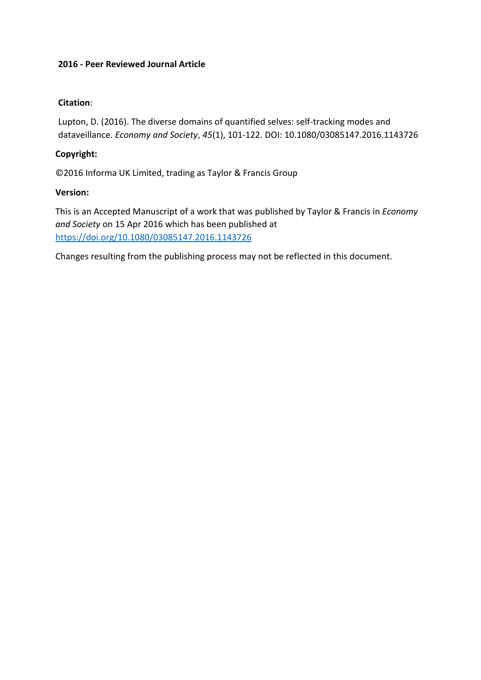# **2016 - Peer Reviewed Journal Article**

# **Citation**:

Lupton, D. (2016). The diverse domains of quantified selves: self-tracking modes and dataveillance. *Economy and Society*, *45*(1), 101-122. DOI: 10.1080/03085147.2016.1143726

# **Copyright:**

©2016 Informa UK Limited, trading as Taylor & Francis Group

# **Version:**

This is an Accepted Manuscript of a work that was published by Taylor & Francis in *Economy and Society* on 15 Apr 2016 which has been published at <https://doi.org/10.1080/03085147.2016.1143726>

Changes resulting from the publishing process may not be reflected in this document.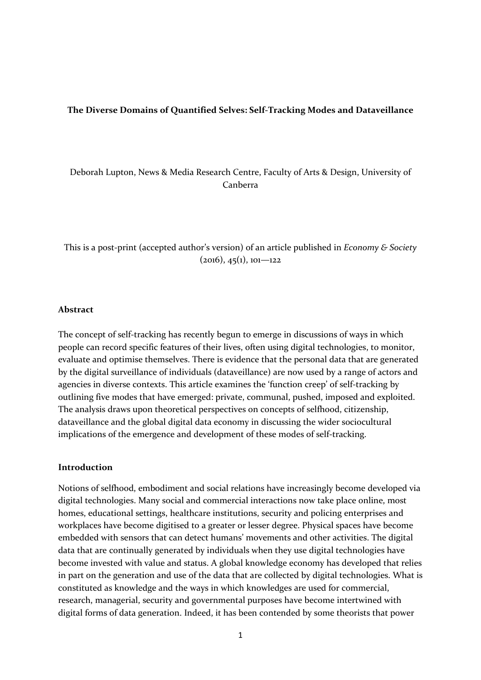### **The Diverse Domains of Quantified Selves: Self-Tracking Modes and Dataveillance**

# Deborah Lupton, News & Media Research Centre, Faculty of Arts & Design, University of Canberra

This is a post-print (accepted author's version) of an article published in *Economy & Society*  $(2016), 45(1), 101-122$ 

## **Abstract**

The concept of self-tracking has recently begun to emerge in discussions of ways in which people can record specific features of their lives, often using digital technologies, to monitor, evaluate and optimise themselves. There is evidence that the personal data that are generated by the digital surveillance of individuals (dataveillance) are now used by a range of actors and agencies in diverse contexts. This article examines the 'function creep' of self-tracking by outlining five modes that have emerged: private, communal, pushed, imposed and exploited. The analysis draws upon theoretical perspectives on concepts of selfhood, citizenship, dataveillance and the global digital data economy in discussing the wider sociocultural implications of the emergence and development of these modes of self-tracking.

## **Introduction**

Notions of selfhood, embodiment and social relations have increasingly become developed via digital technologies. Many social and commercial interactions now take place online, most homes, educational settings, healthcare institutions, security and policing enterprises and workplaces have become digitised to a greater or lesser degree. Physical spaces have become embedded with sensors that can detect humans' movements and other activities. The digital data that are continually generated by individuals when they use digital technologies have become invested with value and status. A global knowledge economy has developed that relies in part on the generation and use of the data that are collected by digital technologies. What is constituted as knowledge and the ways in which knowledges are used for commercial, research, managerial, security and governmental purposes have become intertwined with digital forms of data generation. Indeed, it has been contended by some theorists that power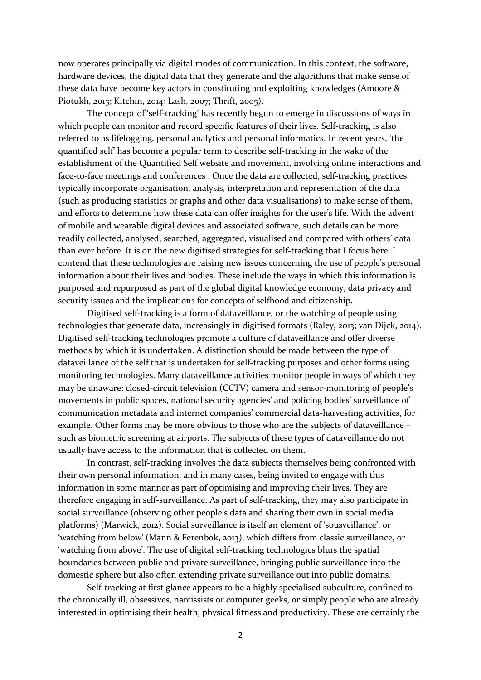now operates principally via digital modes of communication. In this context, the software, hardware devices, the digital data that they generate and the algorithms that make sense of these data have become key actors in constituting and exploiting knowledges [\(Amoore &](#page-16-0)  [Piotukh, 2015;](#page-16-0) [Kitchin, 2014;](#page-17-0) [Lash, 2007;](#page-17-1) [Thrift, 2005\)](#page-20-0).

The concept of 'self-tracking' has recently begun to emerge in discussions of ways in which people can monitor and record specific features of their lives. Self-tracking is also referred to as lifelogging, personal analytics and personal informatics. In recent years, 'the quantified self' has become a popular term to describe self-tracking in the wake of the establishment of the Quantified Self website and movement, involving online interactions and face-to-face meetings and conferences . Once the data are collected, self-tracking practices typically incorporate organisation, analysis, interpretation and representation of the data (such as producing statistics or graphs and other data visualisations) to make sense of them, and efforts to determine how these data can offer insights for the user's life. With the advent of mobile and wearable digital devices and associated software, such details can be more readily collected, analysed, searched, aggregated, visualised and compared with others' data than ever before. It is on the new digitised strategies for self-tracking that I focus here. I contend that these technologies are raising new issues concerning the use of people's personal information about their lives and bodies. These include the ways in which this information is purposed and repurposed as part of the global digital knowledge economy, data privacy and security issues and the implications for concepts of selfhood and citizenship.

Digitised self-tracking is a form of dataveillance, or the watching of people using technologies that generate data, increasingly in digitised formats [\(Raley, 2013;](#page-19-0) [van Dijck, 2014\)](#page-20-1). Digitised self-tracking technologies promote a culture of dataveillance and offer diverse methods by which it is undertaken. A distinction should be made between the type of dataveillance of the self that is undertaken for self-tracking purposes and other forms using monitoring technologies. Many dataveillance activities monitor people in ways of which they may be unaware: closed-circuit television (CCTV) camera and sensor-monitoring of people's movements in public spaces, national security agencies' and policing bodies' surveillance of communication metadata and internet companies' commercial data-harvesting activities, for example. Other forms may be more obvious to those who are the subjects of dataveillance – such as biometric screening at airports. The subjects of these types of dataveillance do not usually have access to the information that is collected on them.

In contrast, self-tracking involves the data subjects themselves being confronted with their own personal information, and in many cases, being invited to engage with this information in some manner as part of optimising and improving their lives. They are therefore engaging in self-surveillance. As part of self-tracking, they may also participate in social surveillance (observing other people's data and sharing their own in social media platforms) [\(Marwick, 2012\)](#page-18-0). Social surveillance is itself an element of 'sousveillance', or 'watching from below' [\(Mann & Ferenbok, 2013\)](#page-18-1), which differs from classic surveillance, or 'watching from above'. The use of digital self-tracking technologies blurs the spatial boundaries between public and private surveillance, bringing public surveillance into the domestic sphere but also often extending private surveillance out into public domains.

Self-tracking at first glance appears to be a highly specialised subculture, confined to the chronically ill, obsessives, narcissists or computer geeks, or simply people who are already interested in optimising their health, physical fitness and productivity. These are certainly the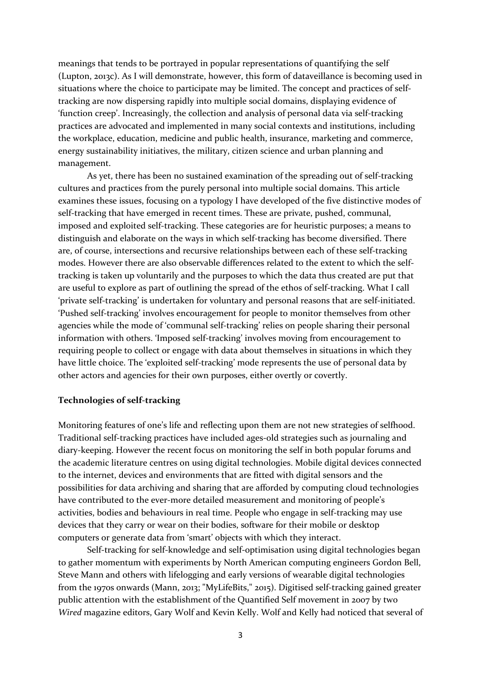meanings that tends to be portrayed in popular representations of quantifying the self [\(Lupton, 2013c\)](#page-18-2). As I will demonstrate, however, this form of dataveillance is becoming used in situations where the choice to participate may be limited. The concept and practices of selftracking are now dispersing rapidly into multiple social domains, displaying evidence of 'function creep'. Increasingly, the collection and analysis of personal data via self-tracking practices are advocated and implemented in many social contexts and institutions, including the workplace, education, medicine and public health, insurance, marketing and commerce, energy sustainability initiatives, the military, citizen science and urban planning and management.

As yet, there has been no sustained examination of the spreading out of self-tracking cultures and practices from the purely personal into multiple social domains. This article examines these issues, focusing on a typology I have developed of the five distinctive modes of self-tracking that have emerged in recent times. These are private, pushed, communal, imposed and exploited self-tracking. These categories are for heuristic purposes; a means to distinguish and elaborate on the ways in which self-tracking has become diversified. There are, of course, intersections and recursive relationships between each of these self-tracking modes. However there are also observable differences related to the extent to which the selftracking is taken up voluntarily and the purposes to which the data thus created are put that are useful to explore as part of outlining the spread of the ethos of self-tracking. What I call 'private self-tracking' is undertaken for voluntary and personal reasons that are self-initiated. 'Pushed self-tracking' involves encouragement for people to monitor themselves from other agencies while the mode of 'communal self-tracking' relies on people sharing their personal information with others. 'Imposed self-tracking' involves moving from encouragement to requiring people to collect or engage with data about themselves in situations in which they have little choice. The 'exploited self-tracking' mode represents the use of personal data by other actors and agencies for their own purposes, either overtly or covertly.

#### **Technologies of self-tracking**

Monitoring features of one's life and reflecting upon them are not new strategies of selfhood. Traditional self-tracking practices have included ages-old strategies such as journaling and diary-keeping. However the recent focus on monitoring the self in both popular forums and the academic literature centres on using digital technologies. Mobile digital devices connected to the internet, devices and environments that are fitted with digital sensors and the possibilities for data archiving and sharing that are afforded by computing cloud technologies have contributed to the ever-more detailed measurement and monitoring of people's activities, bodies and behaviours in real time. People who engage in self-tracking may use devices that they carry or wear on their bodies, software for their mobile or desktop computers or generate data from 'smart' objects with which they interact.

Self-tracking for self-knowledge and self-optimisation using digital technologies began to gather momentum with experiments by North American computing engineers Gordon Bell, Steve Mann and others with lifelogging and early versions of wearable digital technologies from the 1970s onwards [\(Mann, 2013;](#page-18-3) ["MyLifeBits," 2015\)](#page-18-4). Digitised self-tracking gained greater public attention with the establishment of the Quantified Self movement in 2007 by two *Wired* magazine editors, Gary Wolf and Kevin Kelly. Wolf and Kelly had noticed that several of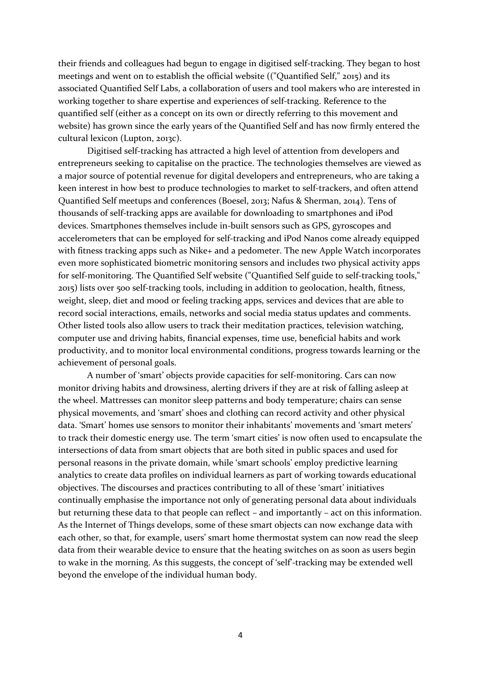their friends and colleagues had begun to engage in digitised self-tracking. They began to host meetings and went on to establish the official website ([\("Quantified Self," 2015\)](#page-19-1) and its associated Quantified Self Labs, a collaboration of users and tool makers who are interested in working together to share expertise and experiences of self-tracking. Reference to the quantified self (either as a concept on its own or directly referring to this movement and website) has grown since the early years of the Quantified Self and has now firmly entered the cultural lexicon [\(Lupton, 2013c\)](#page-18-2).

Digitised self-tracking has attracted a high level of attention from developers and entrepreneurs seeking to capitalise on the practice. The technologies themselves are viewed as a major source of potential revenue for digital developers and entrepreneurs, who are taking a keen interest in how best to produce technologies to market to self-trackers, and often attend Quantified Self meetups and conferences [\(Boesel, 2013;](#page-17-2) [Nafus & Sherman, 2014\)](#page-18-5). Tens of thousands of self-tracking apps are available for downloading to smartphones and iPod devices. Smartphones themselves include in-built sensors such as GPS, gyroscopes and accelerometers that can be employed for self-tracking and iPod Nanos come already equipped with fitness tracking apps such as Nike+ and a pedometer. The new Apple Watch incorporates even more sophisticated biometric monitoring sensors and includes two physical activity apps for self-monitoring. The Quantified Self website [\("Quantified Self guide to self-tracking tools,"](#page-19-2)  [2015\)](#page-19-2) lists over 500 self-tracking tools, including in addition to geolocation, health, fitness, weight, sleep, diet and mood or feeling tracking apps, services and devices that are able to record social interactions, emails, networks and social media status updates and comments. Other listed tools also allow users to track their meditation practices, television watching, computer use and driving habits, financial expenses, time use, beneficial habits and work productivity, and to monitor local environmental conditions, progress towards learning or the achievement of personal goals.

A number of 'smart' objects provide capacities for self-monitoring. Cars can now monitor driving habits and drowsiness, alerting drivers if they are at risk of falling asleep at the wheel. Mattresses can monitor sleep patterns and body temperature; chairs can sense physical movements, and 'smart' shoes and clothing can record activity and other physical data. 'Smart' homes use sensors to monitor their inhabitants' movements and 'smart meters' to track their domestic energy use. The term 'smart cities' is now often used to encapsulate the intersections of data from smart objects that are both sited in public spaces and used for personal reasons in the private domain, while 'smart schools' employ predictive learning analytics to create data profiles on individual learners as part of working towards educational objectives. The discourses and practices contributing to all of these 'smart' initiatives continually emphasise the importance not only of generating personal data about individuals but returning these data to that people can reflect – and importantly – act on this information. As the Internet of Things develops, some of these smart objects can now exchange data with each other, so that, for example, users' smart home thermostat system can now read the sleep data from their wearable device to ensure that the heating switches on as soon as users begin to wake in the morning. As this suggests, the concept of 'self'-tracking may be extended well beyond the envelope of the individual human body.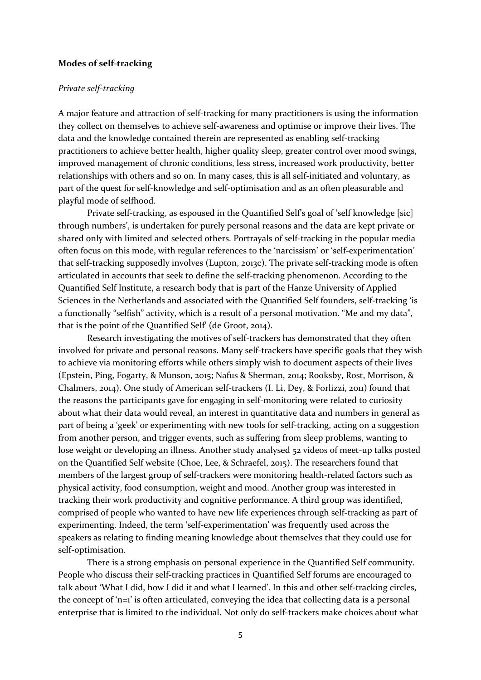### **Modes of self-tracking**

#### *Private self-tracking*

A major feature and attraction of self-tracking for many practitioners is using the information they collect on themselves to achieve self-awareness and optimise or improve their lives. The data and the knowledge contained therein are represented as enabling self-tracking practitioners to achieve better health, higher quality sleep, greater control over mood swings, improved management of chronic conditions, less stress, increased work productivity, better relationships with others and so on. In many cases, this is all self-initiated and voluntary, as part of the quest for self-knowledge and self-optimisation and as an often pleasurable and playful mode of selfhood.

Private self-tracking, as espoused in the Quantified Self's goal of 'self knowledge [sic] through numbers', is undertaken for purely personal reasons and the data are kept private or shared only with limited and selected others. Portrayals of self-tracking in the popular media often focus on this mode, with regular references to the 'narcissism' or 'self-experimentation' that self-tracking supposedly involves [\(Lupton, 2013c\)](#page-18-2). The private self-tracking mode is often articulated in accounts that seek to define the self-tracking phenomenon. According to the Quantified Self Institute, a research body that is part of the Hanze University of Applied Sciences in the Netherlands and associated with the Quantified Self founders, self-tracking 'is a functionally "selfish" activity, which is a result of a personal motivation. "Me and my data", that is the point of the Quantified Self' [\(de Groot, 2014\)](#page-17-3).

Research investigating the motives of self-trackers has demonstrated that they often involved for private and personal reasons. Many self-trackers have specific goals that they wish to achieve via monitoring efforts while others simply wish to document aspects of their lives (Epstein, [Ping, Fogarty, & Munson, 2015;](#page-17-4) [Nafus & Sherman, 2014;](#page-18-5) [Rooksby, Rost, Morrison, &](#page-19-3)  [Chalmers, 2014\)](#page-19-3). One study of American self-trackers [\(I. Li, Dey, & Forlizzi, 2011\)](#page-17-5) found that the reasons the participants gave for engaging in self-monitoring were related to curiosity about what their data would reveal, an interest in quantitative data and numbers in general as part of being a 'geek' or experimenting with new tools for self-tracking, acting on a suggestion from another person, and trigger events, such as suffering from sleep problems, wanting to lose weight or developing an illness. Another study analysed 52 videos of meet-up talks posted on the Quantified Self website [\(Choe, Lee, & Schraefel, 2015\)](#page-17-6). The researchers found that members of the largest group of self-trackers were monitoring health-related factors such as physical activity, food consumption, weight and mood. Another group was interested in tracking their work productivity and cognitive performance. A third group was identified, comprised of people who wanted to have new life experiences through self-tracking as part of experimenting. Indeed, the term 'self-experimentation' was frequently used across the speakers as relating to finding meaning knowledge about themselves that they could use for self-optimisation.

There is a strong emphasis on personal experience in the Quantified Self community. People who discuss their self-tracking practices in Quantified Self forums are encouraged to talk about 'What I did, how I did it and what I learned'. In this and other self-tracking circles, the concept of 'n=1' is often articulated, conveying the idea that collecting data is a personal enterprise that is limited to the individual. Not only do self-trackers make choices about what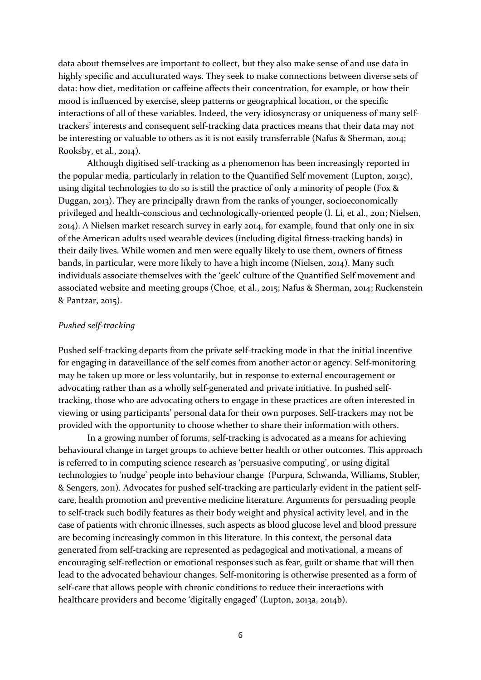data about themselves are important to collect, but they also make sense of and use data in highly specific and acculturated ways. They seek to make connections between diverse sets of data: how diet, meditation or caffeine affects their concentration, for example, or how their mood is influenced by exercise, sleep patterns or geographical location, or the specific interactions of all of these variables. Indeed, the very idiosyncrasy or uniqueness of many selftrackers' interests and consequent self-tracking data practices means that their data may not be interesting or valuable to others as it is not easily transferrable [\(Nafus & Sherman, 2014;](#page-18-5) [Rooksby, et al., 2014\)](#page-19-3).

Although digitised self-tracking as a phenomenon has been increasingly reported in the popular media, particularly in relation to the Quantified Self movement [\(Lupton, 2013c\)](#page-18-2), using digital technologies to do so is still the practice of only a minority of people [\(Fox &](#page-17-7)  [Duggan, 2013\)](#page-17-7). They are principally drawn from the ranks of younger, socioeconomically privileged and health-conscious and technologically-oriented people [\(I. Li, et al., 2011;](#page-17-5) [Nielsen,](#page-19-4)  [2014\)](#page-19-4). A Nielsen market research survey in early 2014, for example, found that only one in six of the American adults used wearable devices (including digital fitness-tracking bands) in their daily lives. While women and men were equally likely to use them, owners of fitness bands, in particular, were more likely to have a high income [\(Nielsen, 2014\)](#page-19-4). Many such individuals associate themselves with the 'geek' culture of the Quantified Self movement and associated website and meeting groups [\(Choe, et al., 2015;](#page-17-6) [Nafus & Sherman, 2014;](#page-18-5) [Ruckenstein](#page-19-5)  [& Pantzar, 2015\)](#page-19-5).

## *Pushed self-tracking*

Pushed self-tracking departs from the private self-tracking mode in that the initial incentive for engaging in dataveillance of the self comes from another actor or agency. Self-monitoring may be taken up more or less voluntarily, but in response to external encouragement or advocating rather than as a wholly self-generated and private initiative. In pushed selftracking, those who are advocating others to engage in these practices are often interested in viewing or using participants' personal data for their own purposes. Self-trackers may not be provided with the opportunity to choose whether to share their information with others.

In a growing number of forums, self-tracking is advocated as a means for achieving behavioural change in target groups to achieve better health or other outcomes. This approach is referred to in computing science research as 'persuasive computing', or using digital technologies to 'nudge' people into behaviour change [\(Purpura, Schwanda, Williams, Stubler,](#page-19-6)  [& Sengers, 2011\)](#page-19-6). Advocates for pushed self-tracking are particularly evident in the patient selfcare, health promotion and preventive medicine literature. Arguments for persuading people to self-track such bodily features as their body weight and physical activity level, and in the case of patients with chronic illnesses, such aspects as blood glucose level and blood pressure are becoming increasingly common in this literature. In this context, the personal data generated from self-tracking are represented as pedagogical and motivational, a means of encouraging self-reflection or emotional responses such as fear, guilt or shame that will then lead to the advocated behaviour changes. Self-monitoring is otherwise presented as a form of self-care that allows people with chronic conditions to reduce their interactions with healthcare providers and become 'digitally engaged' [\(Lupton, 2013a,](#page-18-6) [2014b\)](#page-18-7).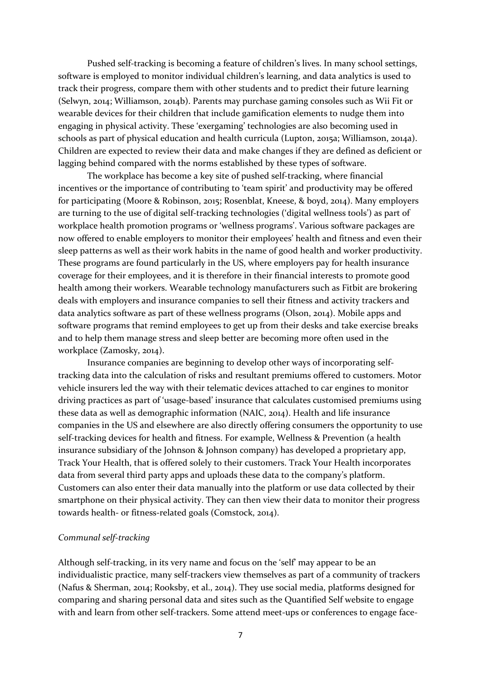Pushed self-tracking is becoming a feature of children's lives. In many school settings, software is employed to monitor individual children's learning, and data analytics is used to track their progress, compare them with other students and to predict their future learning [\(Selwyn, 2014;](#page-19-7) [Williamson, 2014b\)](#page-20-2). Parents may purchase gaming consoles such as Wii Fit or wearable devices for their children that include gamification elements to nudge them into engaging in physical activity. These 'exergaming' technologies are also becoming used in schools as part of physical education and health curricula [\(Lupton, 2015a;](#page-18-8) [Williamson, 2014a\)](#page-20-3). Children are expected to review their data and make changes if they are defined as deficient or lagging behind compared with the norms established by these types of software.

The workplace has become a key site of pushed self-tracking, where financial incentives or the importance of contributing to 'team spirit' and productivity may be offered for participating [\(Moore & Robinson, 2015;](#page-18-9) [Rosenblat, Kneese, & boyd, 2014\)](#page-19-8). Many employers are turning to the use of digital self-tracking technologies ('digital wellness tools') as part of workplace health promotion programs or 'wellness programs'. Various software packages are now offered to enable employers to monitor their employees' health and fitness and even their sleep patterns as well as their work habits in the name of good health and worker productivity. These programs are found particularly in the US, where employers pay for health insurance coverage for their employees, and it is therefore in their financial interests to promote good health among their workers. Wearable technology manufacturers such as Fitbit are brokering deals with employers and insurance companies to sell their fitness and activity trackers and data analytics software as part of these wellness programs [\(Olson, 2014\)](#page-19-9). Mobile apps and software programs that remind employees to get up from their desks and take exercise breaks and to help them manage stress and sleep better are becoming more often used in the workplace [\(Zamosky, 2014\)](#page-20-4).

Insurance companies are beginning to develop other ways of incorporating selftracking data into the calculation of risks and resultant premiums offered to customers. Motor vehicle insurers led the way with their telematic devices attached to car engines to monitor driving practices as part of 'usage-based' insurance that calculates customised premiums using these data as well as demographic information [\(NAIC, 2014\)](#page-18-10). Health and life insurance companies in the US and elsewhere are also directly offering consumers the opportunity to use self-tracking devices for health and fitness. For example, Wellness & Prevention (a health insurance subsidiary of the Johnson & Johnson company) has developed a proprietary app, Track Your Health, that is offered solely to their customers. Track Your Health incorporates data from several third party apps and uploads these data to the company's platform. Customers can also enter their data manually into the platform or use data collected by their smartphone on their physical activity. They can then view their data to monitor their progress towards health- or fitness-related goals [\(Comstock, 2014\)](#page-17-8).

## *Communal self-tracking*

Although self-tracking, in its very name and focus on the 'self' may appear to be an individualistic practice, many self-trackers view themselves as part of a community of trackers [\(Nafus & Sherman, 2014;](#page-18-5) [Rooksby, et al., 2014\)](#page-19-3). They use social media, platforms designed for comparing and sharing personal data and sites such as the Quantified Self website to engage with and learn from other self-trackers. Some attend meet-ups or conferences to engage face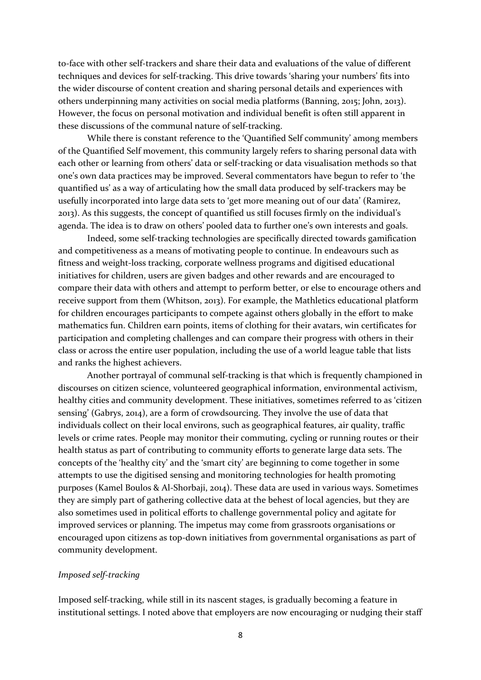to-face with other self-trackers and share their data and evaluations of the value of different techniques and devices for self-tracking. This drive towards 'sharing your numbers' fits into the wider discourse of content creation and sharing personal details and experiences with others underpinning many activities on social media platforms [\(Banning, 2015;](#page-16-1) [John, 2013\)](#page-17-9). However, the focus on personal motivation and individual benefit is often still apparent in these discussions of the communal nature of self-tracking.

While there is constant reference to the 'Quantified Self community' among members of the Quantified Self movement, this community largely refers to sharing personal data with each other or learning from others' data or self-tracking or data visualisation methods so that one's own data practices may be improved. Several commentators have begun to refer to 'the quantified us' as a way of articulating how the small data produced by self-trackers may be usefully incorporated into large data sets to 'get more meaning out of our data' [\(Ramirez,](#page-19-10)  [2013\)](#page-19-10). As this suggests, the concept of quantified us still focuses firmly on the individual's agenda. The idea is to draw on others' pooled data to further one's own interests and goals.

Indeed, some self-tracking technologies are specifically directed towards gamification and competitiveness as a means of motivating people to continue. In endeavours such as fitness and weight-loss tracking, corporate wellness programs and digitised educational initiatives for children, users are given badges and other rewards and are encouraged to compare their data with others and attempt to perform better, or else to encourage others and receive support from them [\(Whitson, 2013\)](#page-20-5). For example, the Mathletics educational platform for children encourages participants to compete against others globally in the effort to make mathematics fun. Children earn points, items of clothing for their avatars, win certificates for participation and completing challenges and can compare their progress with others in their class or across the entire user population, including the use of a world league table that lists and ranks the highest achievers.

Another portrayal of communal self-tracking is that which is frequently championed in discourses on citizen science, volunteered geographical information, environmental activism, healthy cities and community development. These initiatives, sometimes referred to as 'citizen sensing' [\(Gabrys, 2014\)](#page-17-10), are a form of crowdsourcing. They involve the use of data that individuals collect on their local environs, such as geographical features, air quality, traffic levels or crime rates. People may monitor their commuting, cycling or running routes or their health status as part of contributing to community efforts to generate large data sets. The concepts of the 'healthy city' and the 'smart city' are beginning to come together in some attempts to use the digitised sensing and monitoring technologies for health promoting purposes [\(Kamel Boulos & Al-Shorbaji, 2014\)](#page-17-11). These data are used in various ways. Sometimes they are simply part of gathering collective data at the behest of local agencies, but they are also sometimes used in political efforts to challenge governmental policy and agitate for improved services or planning. The impetus may come from grassroots organisations or encouraged upon citizens as top-down initiatives from governmental organisations as part of community development.

### *Imposed self-tracking*

Imposed self-tracking, while still in its nascent stages, is gradually becoming a feature in institutional settings. I noted above that employers are now encouraging or nudging their staff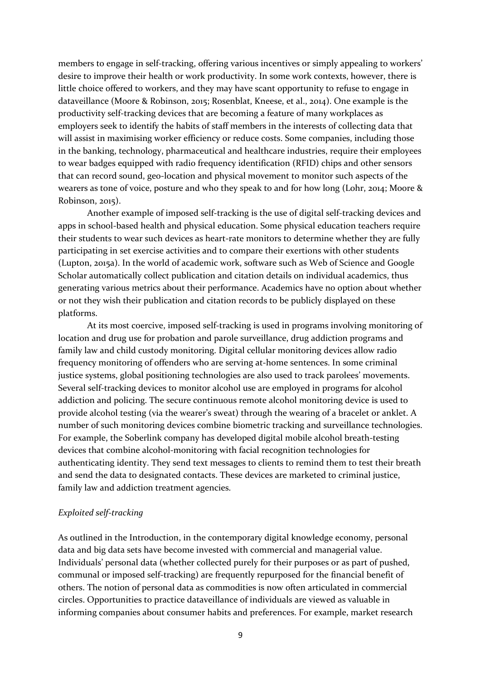members to engage in self-tracking, offering various incentives or simply appealing to workers' desire to improve their health or work productivity. In some work contexts, however, there is little choice offered to workers, and they may have scant opportunity to refuse to engage in dataveillance [\(Moore & Robinson, 2015;](#page-18-9) [Rosenblat, Kneese, et al., 2014\)](#page-19-8). One example is the productivity self-tracking devices that are becoming a feature of many workplaces as employers seek to identify the habits of staff members in the interests of collecting data that will assist in maximising worker efficiency or reduce costs. Some companies, including those in the banking, technology, pharmaceutical and healthcare industries, require their employees to wear badges equipped with radio frequency identification (RFID) chips and other sensors that can record sound, geo-location and physical movement to monitor such aspects of the wearers as tone of voice, posture and who they speak to and for how long [\(Lohr, 2014;](#page-18-11) [Moore &](#page-18-9)  [Robinson, 2015\)](#page-18-9).

Another example of imposed self-tracking is the use of digital self-tracking devices and apps in school-based health and physical education. Some physical education teachers require their students to wear such devices as heart-rate monitors to determine whether they are fully participating in set exercise activities and to compare their exertions with other students [\(Lupton, 2015a\)](#page-18-8). In the world of academic work, software such as Web of Science and Google Scholar automatically collect publication and citation details on individual academics, thus generating various metrics about their performance. Academics have no option about whether or not they wish their publication and citation records to be publicly displayed on these platforms.

At its most coercive, imposed self-tracking is used in programs involving monitoring of location and drug use for probation and parole surveillance, drug addiction programs and family law and child custody monitoring. Digital cellular monitoring devices allow radio frequency monitoring of offenders who are serving at-home sentences. In some criminal justice systems, global positioning technologies are also used to track parolees' movements. Several self-tracking devices to monitor alcohol use are employed in programs for alcohol addiction and policing. The secure continuous remote alcohol monitoring device is used to provide alcohol testing (via the wearer's sweat) through the wearing of a bracelet or anklet. A number of such monitoring devices combine biometric tracking and surveillance technologies. For example, the Soberlink company has developed digital mobile alcohol breath-testing devices that combine alcohol-monitoring with facial recognition technologies for authenticating identity. They send text messages to clients to remind them to test their breath and send the data to designated contacts. These devices are marketed to criminal justice, family law and addiction treatment agencies.

## *Exploited self-tracking*

As outlined in the Introduction, in the contemporary digital knowledge economy, personal data and big data sets have become invested with commercial and managerial value. Individuals' personal data (whether collected purely for their purposes or as part of pushed, communal or imposed self-tracking) are frequently repurposed for the financial benefit of others. The notion of personal data as commodities is now often articulated in commercial circles. Opportunities to practice dataveillance of individuals are viewed as valuable in informing companies about consumer habits and preferences. For example, market research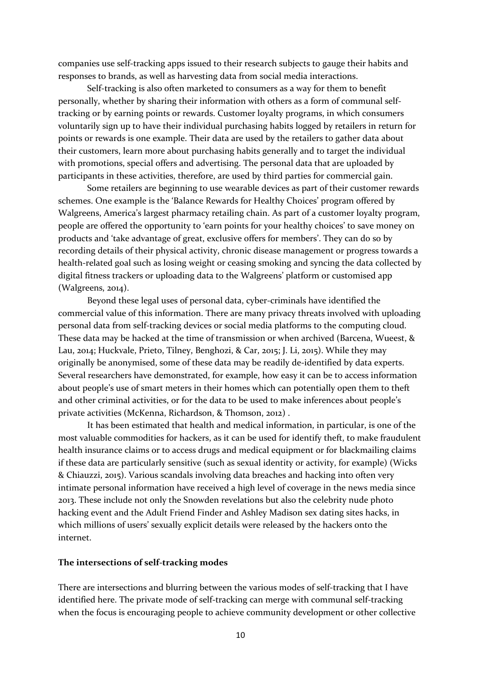companies use self-tracking apps issued to their research subjects to gauge their habits and responses to brands, as well as harvesting data from social media interactions.

Self-tracking is also often marketed to consumers as a way for them to benefit personally, whether by sharing their information with others as a form of communal selftracking or by earning points or rewards. Customer loyalty programs, in which consumers voluntarily sign up to have their individual purchasing habits logged by retailers in return for points or rewards is one example. Their data are used by the retailers to gather data about their customers, learn more about purchasing habits generally and to target the individual with promotions, special offers and advertising. The personal data that are uploaded by participants in these activities, therefore, are used by third parties for commercial gain.

Some retailers are beginning to use wearable devices as part of their customer rewards schemes. One example is the 'Balance Rewards for Healthy Choices' program offered by Walgreens, America's largest pharmacy retailing chain. As part of a customer loyalty program, people are offered the opportunity to 'earn points for your healthy choices' to save money on products and 'take advantage of great, exclusive offers for members'. They can do so by recording details of their physical activity, chronic disease management or progress towards a health-related goal such as losing weight or ceasing smoking and syncing the data collected by digital fitness trackers or uploading data to the Walgreens' platform or customised app [\(Walgreens, 2014\)](#page-20-6).

Beyond these legal uses of personal data, cyber-criminals have identified the commercial value of this information. There are many privacy threats involved with uploading personal data from self-tracking devices or social media platforms to the computing cloud. These data may be hacked at the time of transmission or when archived [\(Barcena, Wueest, &](#page-16-2)  [Lau, 2014;](#page-16-2) [Huckvale, Prieto, Tilney, Benghozi, & Car, 2015;](#page-17-12) [J. Li, 2015\)](#page-18-12). While they may originally be anonymised, some of these data may be readily de-identified by data experts. Several researchers have demonstrated, for example, how easy it can be to access information about people's use of smart meters in their homes which can potentially open them to theft and other criminal activities, or for the data to be used to make inferences about people's private activities [\(McKenna, Richardson, & Thomson, 2012\)](#page-18-13) .

It has been estimated that health and medical information, in particular, is one of the most valuable commodities for hackers, as it can be used for identify theft, to make fraudulent health insurance claims or to access drugs and medical equipment or for blackmailing claims if these data are particularly sensitive (such as sexual identity or activity, for example) [\(Wicks](#page-20-7)  [& Chiauzzi, 2015\)](#page-20-7). Various scandals involving data breaches and hacking into often very intimate personal information have received a high level of coverage in the news media since 2013. These include not only the Snowden revelations but also the celebrity nude photo hacking event and the Adult Friend Finder and Ashley Madison sex dating sites hacks, in which millions of users' sexually explicit details were released by the hackers onto the internet.

## **The intersections of self-tracking modes**

There are intersections and blurring between the various modes of self-tracking that I have identified here. The private mode of self-tracking can merge with communal self-tracking when the focus is encouraging people to achieve community development or other collective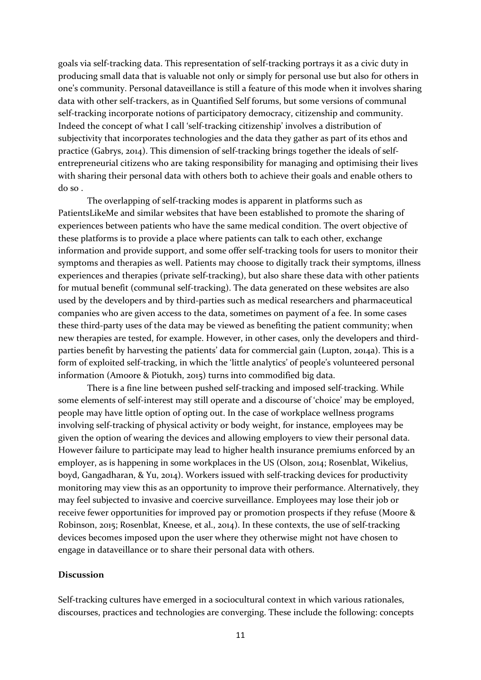goals via self-tracking data. This representation of self-tracking portrays it as a civic duty in producing small data that is valuable not only or simply for personal use but also for others in one's community. Personal dataveillance is still a feature of this mode when it involves sharing data with other self-trackers, as in Quantified Self forums, but some versions of communal self-tracking incorporate notions of participatory democracy, citizenship and community. Indeed the concept of what I call 'self-tracking citizenship' involves a distribution of subjectivity that incorporates technologies and the data they gather as part of its ethos and practice [\(Gabrys, 2014\)](#page-17-10). This dimension of self-tracking brings together the ideals of selfentrepreneurial citizens who are taking responsibility for managing and optimising their lives with sharing their personal data with others both to achieve their goals and enable others to do so .

The overlapping of self-tracking modes is apparent in platforms such as PatientsLikeMe and similar websites that have been established to promote the sharing of experiences between patients who have the same medical condition. The overt objective of these platforms is to provide a place where patients can talk to each other, exchange information and provide support, and some offer self-tracking tools for users to monitor their symptoms and therapies as well. Patients may choose to digitally track their symptoms, illness experiences and therapies (private self-tracking), but also share these data with other patients for mutual benefit (communal self-tracking). The data generated on these websites are also used by the developers and by third-parties such as medical researchers and pharmaceutical companies who are given access to the data, sometimes on payment of a fee. In some cases these third-party uses of the data may be viewed as benefiting the patient community; when new therapies are tested, for example. However, in other cases, only the developers and thirdparties benefit by harvesting the patients' data for commercial gain [\(Lupton, 2014a\)](#page-18-14). This is a form of exploited self-tracking, in which the 'little analytics' of people's volunteered personal information [\(Amoore & Piotukh, 2015\)](#page-16-0) turns into commodified big data.

There is a fine line between pushed self-tracking and imposed self-tracking. While some elements of self-interest may still operate and a discourse of 'choice' may be employed, people may have little option of opting out. In the case of workplace wellness programs involving self-tracking of physical activity or body weight, for instance, employees may be given the option of wearing the devices and allowing employers to view their personal data. However failure to participate may lead to higher health insurance premiums enforced by an employer, as is happening in some workplaces in the US [\(Olson, 2014;](#page-19-9) [Rosenblat, Wikelius,](#page-19-11)  [boyd, Gangadharan, & Yu, 2014\)](#page-19-11). Workers issued with self-tracking devices for productivity monitoring may view this as an opportunity to improve their performance. Alternatively, they may feel subjected to invasive and coercive surveillance. Employees may lose their job or receive fewer opportunities for improved pay or promotion prospects if they refuse [\(Moore &](#page-18-9)  [Robinson, 2015;](#page-18-9) [Rosenblat, Kneese, et al., 2014\)](#page-19-8). In these contexts, the use of self-tracking devices becomes imposed upon the user where they otherwise might not have chosen to engage in dataveillance or to share their personal data with others.

### **Discussion**

Self-tracking cultures have emerged in a sociocultural context in which various rationales, discourses, practices and technologies are converging. These include the following: concepts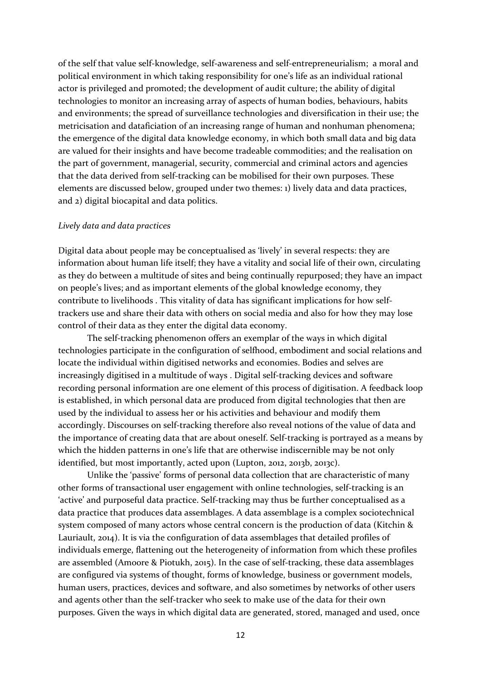of the self that value self-knowledge, self-awareness and self-entrepreneurialism; a moral and political environment in which taking responsibility for one's life as an individual rational actor is privileged and promoted; the development of audit culture; the ability of digital technologies to monitor an increasing array of aspects of human bodies, behaviours, habits and environments; the spread of surveillance technologies and diversification in their use; the metricisation and dataficiation of an increasing range of human and nonhuman phenomena; the emergence of the digital data knowledge economy, in which both small data and big data are valued for their insights and have become tradeable commodities; and the realisation on the part of government, managerial, security, commercial and criminal actors and agencies that the data derived from self-tracking can be mobilised for their own purposes. These elements are discussed below, grouped under two themes: 1) lively data and data practices, and 2) digital biocapital and data politics.

### *Lively data and data practices*

Digital data about people may be conceptualised as 'lively' in several respects: they are information about human life itself; they have a vitality and social life of their own, circulating as they do between a multitude of sites and being continually repurposed; they have an impact on people's lives; and as important elements of the global knowledge economy, they contribute to livelihoods . This vitality of data has significant implications for how selftrackers use and share their data with others on social media and also for how they may lose control of their data as they enter the digital data economy.

The self-tracking phenomenon offers an exemplar of the ways in which digital technologies participate in the configuration of selfhood, embodiment and social relations and locate the individual within digitised networks and economies. Bodies and selves are increasingly digitised in a multitude of ways . Digital self-tracking devices and software recording personal information are one element of this process of digitisation. A feedback loop is established, in which personal data are produced from digital technologies that then are used by the individual to assess her or his activities and behaviour and modify them accordingly. Discourses on self-tracking therefore also reveal notions of the value of data and the importance of creating data that are about oneself. Self-tracking is portrayed as a means by which the hidden patterns in one's life that are otherwise indiscernible may be not only identified, but most importantly, acted upon [\(Lupton, 2012,](#page-18-15) [2013b,](#page-18-16) [2013c\)](#page-18-2).

Unlike the 'passive' forms of personal data collection that are characteristic of many other forms of transactional user engagement with online technologies, self-tracking is an 'active' and purposeful data practice. Self-tracking may thus be further conceptualised as a data practice that produces data assemblages. A data assemblage is a complex sociotechnical system composed of many actors whose central concern is the production of data [\(Kitchin &](#page-17-13)  [Lauriault, 2014\)](#page-17-13). It is via the configuration of data assemblages that detailed profiles of individuals emerge, flattening out the heterogeneity of information from which these profiles are assembled [\(Amoore & Piotukh, 2015\)](#page-16-0). In the case of self-tracking, these data assemblages are configured via systems of thought, forms of knowledge, business or government models, human users, practices, devices and software, and also sometimes by networks of other users and agents other than the self-tracker who seek to make use of the data for their own purposes. Given the ways in which digital data are generated, stored, managed and used, once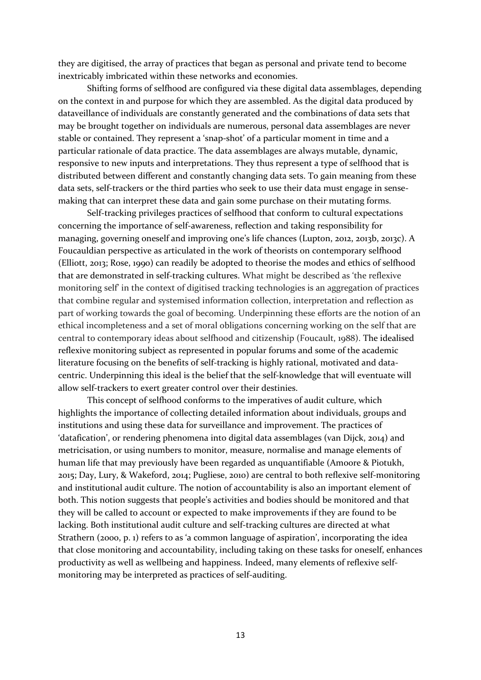they are digitised, the array of practices that began as personal and private tend to become inextricably imbricated within these networks and economies.

Shifting forms of selfhood are configured via these digital data assemblages, depending on the context in and purpose for which they are assembled. As the digital data produced by dataveillance of individuals are constantly generated and the combinations of data sets that may be brought together on individuals are numerous, personal data assemblages are never stable or contained. They represent a 'snap-shot' of a particular moment in time and a particular rationale of data practice. The data assemblages are always mutable, dynamic, responsive to new inputs and interpretations. They thus represent a type of selfhood that is distributed between different and constantly changing data sets. To gain meaning from these data sets, self-trackers or the third parties who seek to use their data must engage in sensemaking that can interpret these data and gain some purchase on their mutating forms.

Self-tracking privileges practices of selfhood that conform to cultural expectations concerning the importance of self-awareness, reflection and taking responsibility for managing, governing oneself and improving one's life chances [\(Lupton, 2012,](#page-18-15) [2013b,](#page-18-16) [2013c\)](#page-18-2). A Foucauldian perspective as articulated in the work of theorists on contemporary selfhood [\(Elliott, 2013;](#page-17-14) [Rose, 1990\)](#page-19-12) can readily be adopted to theorise the modes and ethics of selfhood that are demonstrated in self-tracking cultures. What might be described as 'the reflexive monitoring self' in the context of digitised tracking technologies is an aggregation of practices that combine regular and systemised information collection, interpretation and reflection as part of working towards the goal of becoming. Underpinning these efforts are the notion of an ethical incompleteness and a set of moral obligations concerning working on the self that are central to contemporary ideas about selfhood and citizenship [\(Foucault, 1988\)](#page-17-15). The idealised reflexive monitoring subject as represented in popular forums and some of the academic literature focusing on the benefits of self-tracking is highly rational, motivated and datacentric. Underpinning this ideal is the belief that the self-knowledge that will eventuate will allow self-trackers to exert greater control over their destinies.

This concept of selfhood conforms to the imperatives of audit culture, which highlights the importance of collecting detailed information about individuals, groups and institutions and using these data for surveillance and improvement. The practices of 'datafication', or rendering phenomena into digital data assemblages [\(van Dijck, 2014\)](#page-20-1) and metricisation, or using numbers to monitor, measure, normalise and manage elements of human life that may previously have been regarded as unquantifiable [\(Amoore & Piotukh,](#page-16-0)  [2015;](#page-16-0) [Day, Lury, & Wakeford, 2014;](#page-17-16) [Pugliese, 2010\)](#page-19-13) are central to both reflexive self-monitoring and institutional audit culture. The notion of accountability is also an important element of both. This notion suggests that people's activities and bodies should be monitored and that they will be called to account or expected to make improvements if they are found to be lacking. Both institutional audit culture and self-tracking cultures are directed at what Strathern [\(2000, p. 1\)](#page-19-14) refers to as 'a common language of aspiration', incorporating the idea that close monitoring and accountability, including taking on these tasks for oneself, enhances productivity as well as wellbeing and happiness. Indeed, many elements of reflexive selfmonitoring may be interpreted as practices of self-auditing.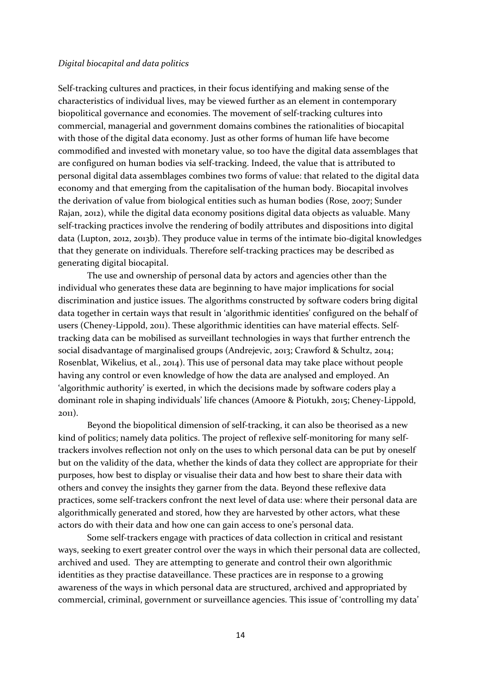### *Digital biocapital and data politics*

Self-tracking cultures and practices, in their focus identifying and making sense of the characteristics of individual lives, may be viewed further as an element in contemporary biopolitical governance and economies. The movement of self-tracking cultures into commercial, managerial and government domains combines the rationalities of biocapital with those of the digital data economy. Just as other forms of human life have become commodified and invested with monetary value, so too have the digital data assemblages that are configured on human bodies via self-tracking. Indeed, the value that is attributed to personal digital data assemblages combines two forms of value: that related to the digital data economy and that emerging from the capitalisation of the human body. Biocapital involves the derivation of value from biological entities such as human bodies [\(Rose, 2007;](#page-19-15) [Sunder](#page-20-8)  [Rajan, 2012\)](#page-20-8), while the digital data economy positions digital data objects as valuable. Many self-tracking practices involve the rendering of bodily attributes and dispositions into digital data [\(Lupton, 2012,](#page-18-15) [2013b\)](#page-18-16). They produce value in terms of the intimate bio-digital knowledges that they generate on individuals. Therefore self-tracking practices may be described as generating digital biocapital.

The use and ownership of personal data by actors and agencies other than the individual who generates these data are beginning to have major implications for social discrimination and justice issues. The algorithms constructed by software coders bring digital data together in certain ways that result in 'algorithmic identities' configured on the behalf of users [\(Cheney-Lippold, 2011\)](#page-17-17). These algorithmic identities can have material effects. Selftracking data can be mobilised as surveillant technologies in ways that further entrench the social disadvantage of marginalised groups [\(Andrejevic, 2013;](#page-16-3) [Crawford & Schultz, 2014;](#page-17-18) [Rosenblat, Wikelius, et al., 2014\)](#page-19-11). This use of personal data may take place without people having any control or even knowledge of how the data are analysed and employed. An 'algorithmic authority' is exerted, in which the decisions made by software coders play a dominant role in shaping individuals' life chances [\(Amoore & Piotukh, 2015;](#page-16-0) [Cheney-Lippold,](#page-17-17)  [2011\)](#page-17-17).

Beyond the biopolitical dimension of self-tracking, it can also be theorised as a new kind of politics; namely data politics. The project of reflexive self-monitoring for many selftrackers involves reflection not only on the uses to which personal data can be put by oneself but on the validity of the data, whether the kinds of data they collect are appropriate for their purposes, how best to display or visualise their data and how best to share their data with others and convey the insights they garner from the data. Beyond these reflexive data practices, some self-trackers confront the next level of data use: where their personal data are algorithmically generated and stored, how they are harvested by other actors, what these actors do with their data and how one can gain access to one's personal data.

Some self-trackers engage with practices of data collection in critical and resistant ways, seeking to exert greater control over the ways in which their personal data are collected, archived and used. They are attempting to generate and control their own algorithmic identities as they practise dataveillance. These practices are in response to a growing awareness of the ways in which personal data are structured, archived and appropriated by commercial, criminal, government or surveillance agencies. This issue of 'controlling my data'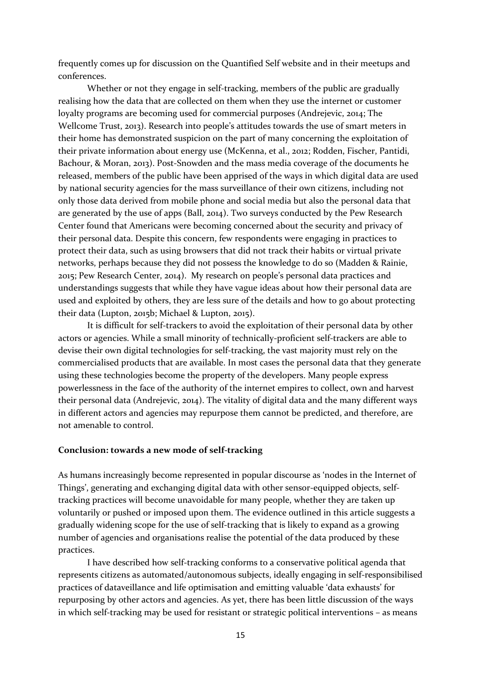frequently comes up for discussion on the Quantified Self website and in their meetups and conferences.

Whether or not they engage in self-tracking, members of the public are gradually realising how the data that are collected on them when they use the internet or customer loyalty programs are becoming used for commercial purposes [\(Andrejevic, 2014;](#page-16-4) [The](#page-20-9)  [Wellcome Trust, 2013\)](#page-20-9). Research into people's attitudes towards the use of smart meters in their home has demonstrated suspicion on the part of many concerning the exploitation of their private information about energy use [\(McKenna, et al., 2012;](#page-18-13) [Rodden, Fischer, Pantidi,](#page-19-16)  [Bachour, & Moran, 2013\)](#page-19-16). Post-Snowden and the mass media coverage of the documents he released, members of the public have been apprised of the ways in which digital data are used by national security agencies for the mass surveillance of their own citizens, including not only those data derived from mobile phone and social media but also the personal data that are generated by the use of apps [\(Ball, 2014\)](#page-16-5). Two surveys conducted by the Pew Research Center found that Americans were becoming concerned about the security and privacy of their personal data. Despite this concern, few respondents were engaging in practices to protect their data, such as using browsers that did not track their habits or virtual private networks, perhaps because they did not possess the knowledge to do so [\(Madden & Rainie,](#page-18-17)  [2015;](#page-18-17) [Pew Research Center, 2014\)](#page-19-17). My research on people's personal data practices and understandings suggests that while they have vague ideas about how their personal data are used and exploited by others, they are less sure of the details and how to go about protecting their data [\(Lupton, 2015b;](#page-18-18) [Michael & Lupton, 2015\)](#page-18-19).

It is difficult for self-trackers to avoid the exploitation of their personal data by other actors or agencies. While a small minority of technically-proficient self-trackers are able to devise their own digital technologies for self-tracking, the vast majority must rely on the commercialised products that are available. In most cases the personal data that they generate using these technologies become the property of the developers. Many people express powerlessness in the face of the authority of the internet empires to collect, own and harvest their personal data [\(Andrejevic, 2014\)](#page-16-4). The vitality of digital data and the many different ways in different actors and agencies may repurpose them cannot be predicted, and therefore, are not amenable to control.

### **Conclusion: towards a new mode of self-tracking**

As humans increasingly become represented in popular discourse as 'nodes in the Internet of Things', generating and exchanging digital data with other sensor-equipped objects, selftracking practices will become unavoidable for many people, whether they are taken up voluntarily or pushed or imposed upon them. The evidence outlined in this article suggests a gradually widening scope for the use of self-tracking that is likely to expand as a growing number of agencies and organisations realise the potential of the data produced by these practices.

I have described how self-tracking conforms to a conservative political agenda that represents citizens as automated/autonomous subjects, ideally engaging in self-responsibilised practices of dataveillance and life optimisation and emitting valuable 'data exhausts' for repurposing by other actors and agencies. As yet, there has been little discussion of the ways in which self-tracking may be used for resistant or strategic political interventions – as means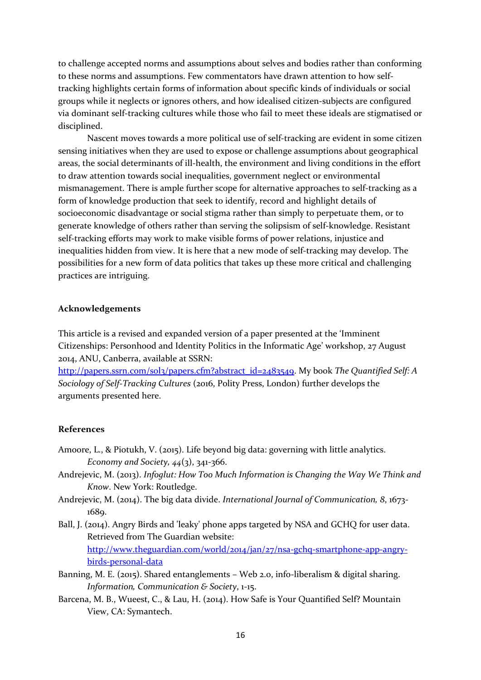to challenge accepted norms and assumptions about selves and bodies rather than conforming to these norms and assumptions. Few commentators have drawn attention to how selftracking highlights certain forms of information about specific kinds of individuals or social groups while it neglects or ignores others, and how idealised citizen-subjects are configured via dominant self-tracking cultures while those who fail to meet these ideals are stigmatised or disciplined.

Nascent moves towards a more political use of self-tracking are evident in some citizen sensing initiatives when they are used to expose or challenge assumptions about geographical areas, the social determinants of ill-health, the environment and living conditions in the effort to draw attention towards social inequalities, government neglect or environmental mismanagement. There is ample further scope for alternative approaches to self-tracking as a form of knowledge production that seek to identify, record and highlight details of socioeconomic disadvantage or social stigma rather than simply to perpetuate them, or to generate knowledge of others rather than serving the solipsism of self-knowledge. Resistant self-tracking efforts may work to make visible forms of power relations, injustice and inequalities hidden from view. It is here that a new mode of self-tracking may develop. The possibilities for a new form of data politics that takes up these more critical and challenging practices are intriguing.

## **Acknowledgements**

This article is a revised and expanded version of a paper presented at the 'Imminent Citizenships: Personhood and Identity Politics in the Informatic Age' workshop, 27 August 2014, ANU, Canberra, available at SSRN:

[http://papers.ssrn.com/sol3/papers.cfm?abstract\\_id=2483549.](http://papers.ssrn.com/sol3/papers.cfm?abstract_id=2483549) My book *The Quantified Self: A Sociology of Self-Tracking Cultures* (2016, Polity Press, London) further develops the arguments presented here.

## **References**

- <span id="page-16-0"></span>Amoore, L., & Piotukh, V. (2015). Life beyond big data: governing with little analytics. *Economy and Society, 44*(3), 341-366.
- <span id="page-16-3"></span>Andrejevic, M. (2013). *Infoglut: How Too Much Information is Changing the Way We Think and Know*. New York: Routledge.
- <span id="page-16-4"></span>Andrejevic, M. (2014). The big data divide. *International Journal of Communication, 8*, 1673- 1689.
- <span id="page-16-5"></span>Ball, J. (2014). Angry Birds and 'leaky' phone apps targeted by NSA and GCHQ for user data. Retrieved from The Guardian website: [http://www.theguardian.com/world/2014/jan/27/nsa-gchq-smartphone-app-angry](http://www.theguardian.com/world/2014/jan/27/nsa-gchq-smartphone-app-angry-birds-personal-data)[birds-personal-data](http://www.theguardian.com/world/2014/jan/27/nsa-gchq-smartphone-app-angry-birds-personal-data)
- <span id="page-16-1"></span>Banning, M. E. (2015). Shared entanglements – Web 2.0, info-liberalism & digital sharing. *Information, Communication & Society*, 1-15.
- <span id="page-16-2"></span>Barcena, M. B., Wueest, C., & Lau, H. (2014). How Safe is Your Quantified Self? Mountain View, CA: Symantech.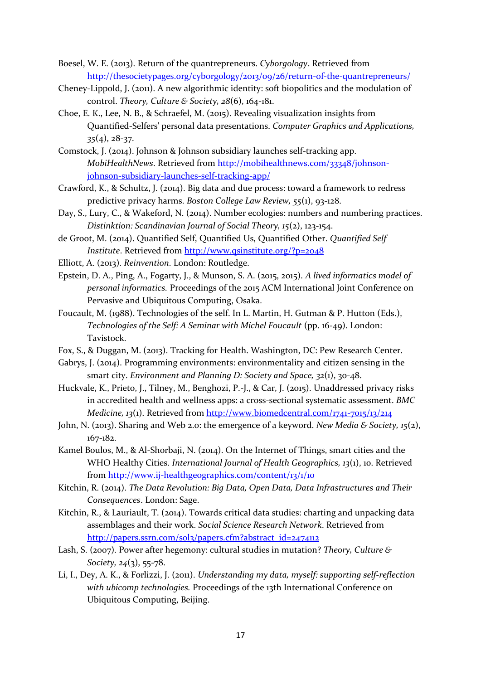- <span id="page-17-2"></span>Boesel, W. E. (2013). Return of the quantrepreneurs. *Cyborgology*. Retrieved from <http://thesocietypages.org/cyborgology/2013/09/26/return-of-the-quantrepreneurs/>
- <span id="page-17-17"></span>Cheney-Lippold, J. (2011). A new algorithmic identity: soft biopolitics and the modulation of control. *Theory, Culture & Society, 28*(6), 164-181.
- <span id="page-17-6"></span>Choe, E. K., Lee, N. B., & Schraefel, M. (2015). Revealing visualization insights from Quantified-Selfers' personal data presentations. *Computer Graphics and Applications, 35*(4), 28-37.
- <span id="page-17-8"></span>Comstock, J. (2014). Johnson & Johnson subsidiary launches self-tracking app. *MobiHealthNews*. Retrieved from [http://mobihealthnews.com/33348/johnson](http://mobihealthnews.com/33348/johnson-johnson-subsidiary-launches-self-tracking-app/)[johnson-subsidiary-launches-self-tracking-app/](http://mobihealthnews.com/33348/johnson-johnson-subsidiary-launches-self-tracking-app/)
- <span id="page-17-18"></span>Crawford, K., & Schultz, J. (2014). Big data and due process: toward a framework to redress predictive privacy harms. *Boston College Law Review, 55*(1), 93-128.
- <span id="page-17-16"></span>Day, S., Lury, C., & Wakeford, N. (2014). Number ecologies: numbers and numbering practices. *Distinktion: Scandinavian Journal of Social Theory, 15*(2), 123-154.
- <span id="page-17-3"></span>de Groot, M. (2014). Quantified Self, Quantified Us, Quantified Other. *Quantified Self Institute*. Retrieved from<http://www.qsinstitute.org/?p=2048>
- <span id="page-17-14"></span>Elliott, A. (2013). *Reinvention*. London: Routledge.
- <span id="page-17-4"></span>Epstein, D. A., Ping, A., Fogarty, J., & Munson, S. A. (2015, 2015). *A lived informatics model of personal informatics.* Proceedings of the 2015 ACM International Joint Conference on Pervasive and Ubiquitous Computing, Osaka.
- <span id="page-17-15"></span>Foucault, M. (1988). Technologies of the self. In L. Martin, H. Gutman & P. Hutton (Eds.), *Technologies of the Self: A Seminar with Michel Foucault* (pp. 16-49). London: Tavistock.
- <span id="page-17-7"></span>Fox, S., & Duggan, M. (2013). Tracking for Health. Washington, DC: Pew Research Center.
- <span id="page-17-10"></span>Gabrys, J. (2014). Programming environments: environmentality and citizen sensing in the smart city. *Environment and Planning D: Society and Space, 32*(1), 30-48.
- <span id="page-17-12"></span>Huckvale, K., Prieto, J., Tilney, M., Benghozi, P.-J., & Car, J. (2015). Unaddressed privacy risks in accredited health and wellness apps: a cross-sectional systematic assessment. *BMC Medicine, 13*(1). Retrieved from<http://www.biomedcentral.com/1741-7015/13/214>
- <span id="page-17-9"></span>John, N. (2013). Sharing and Web 2.0: the emergence of a keyword. *New Media & Society, 15*(2), 167-182.
- <span id="page-17-11"></span>Kamel Boulos, M., & Al-Shorbaji, N. (2014). On the Internet of Things, smart cities and the WHO Healthy Cities. *International Journal of Health Geographics, 13*(1), 10. Retrieved from<http://www.ij-healthgeographics.com/content/13/1/10>
- <span id="page-17-0"></span>Kitchin, R. (2014). *The Data Revolution: Big Data, Open Data, Data Infrastructures and Their Consequences*. London: Sage.
- <span id="page-17-13"></span>Kitchin, R., & Lauriault, T. (2014). Towards critical data studies: charting and unpacking data assemblages and their work. *Social Science Research Network*. Retrieved from [http://papers.ssrn.com/sol3/papers.cfm?abstract\\_id=2474112](http://papers.ssrn.com/sol3/papers.cfm?abstract_id=2474112)
- <span id="page-17-1"></span>Lash, S. (2007). Power after hegemony: cultural studies in mutation? *Theory, Culture & Society, 24*(3), 55-78.
- <span id="page-17-5"></span>Li, I., Dey, A. K., & Forlizzi, J. (2011). *Understanding my data, myself: supporting self-reflection with ubicomp technologies.* Proceedings of the 13th International Conference on Ubiquitous Computing, Beijing.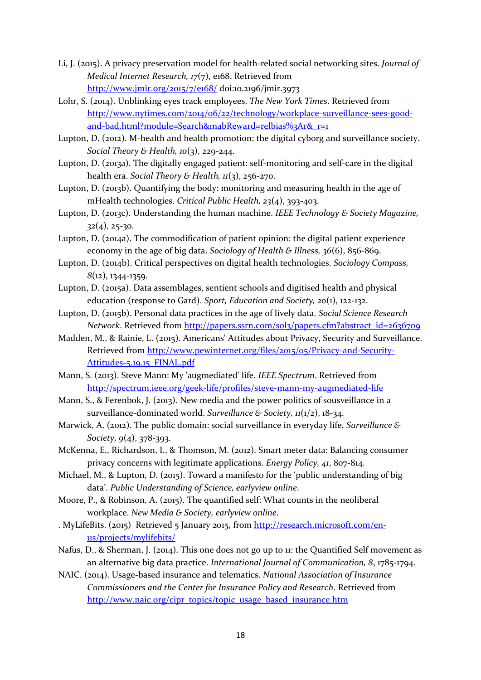- <span id="page-18-12"></span>Li, J. (2015). A privacy preservation model for health-related social networking sites. *Journal of Medical Internet Research, 17*(7), e168. Retrieved from <http://www.jmir.org/2015/7/e168/> doi:10.2196/jmir.3973
- <span id="page-18-11"></span>Lohr, S. (2014). Unblinking eyes track employees. *The New York Times*. Retrieved from [http://www.nytimes.com/2014/06/22/technology/workplace-surveillance-sees-good](http://www.nytimes.com/2014/06/22/technology/workplace-surveillance-sees-good-and-bad.html?module=Search&mabReward=relbias%3Ar&_r=1)and-bad.html?module=Search&mabReward=relbias%3Ar& r=1
- <span id="page-18-15"></span>Lupton, D. (2012). M-health and health promotion: the digital cyborg and surveillance society. *Social Theory & Health, 10*(3), 229-244.
- <span id="page-18-6"></span>Lupton, D. (2013a). The digitally engaged patient: self-monitoring and self-care in the digital health era. *Social Theory & Health, 11*(3), 256-270.
- <span id="page-18-16"></span>Lupton, D. (2013b). Quantifying the body: monitoring and measuring health in the age of mHealth technologies. *Critical Public Health, 23*(4), 393-403.
- <span id="page-18-2"></span>Lupton, D. (2013c). Understanding the human machine. *IEEE Technology & Society Magazine, 32*(4), 25-30.
- <span id="page-18-14"></span>Lupton, D. (2014a). The commodification of patient opinion: the digital patient experience economy in the age of big data. *Sociology of Health & Illness, 36*(6), 856-869.
- <span id="page-18-7"></span>Lupton, D. (2014b). Critical perspectives on digital health technologies. *Sociology Compass, 8*(12), 1344-1359.
- <span id="page-18-8"></span>Lupton, D. (2015a). Data assemblages, sentient schools and digitised health and physical education (response to Gard). *Sport, Education and Society, 20*(1), 122-132.
- <span id="page-18-18"></span>Lupton, D. (2015b). Personal data practices in the age of lively data. *Social Science Research Network*. Retrieved from [http://papers.ssrn.com/sol3/papers.cfm?abstract\\_id=2636709](http://papers.ssrn.com/sol3/papers.cfm?abstract_id=2636709)
- <span id="page-18-17"></span>Madden, M., & Rainie, L. (2015). Americans' Attitudes about Privacy, Security and Surveillance. Retrieved from [http://www.pewinternet.org/files/2015/05/Privacy-and-Security-](http://www.pewinternet.org/files/2015/05/Privacy-and-Security-Attitudes-5.19.15_FINAL.pdf)[Attitudes-5.19.15\\_FINAL.pdf](http://www.pewinternet.org/files/2015/05/Privacy-and-Security-Attitudes-5.19.15_FINAL.pdf)
- <span id="page-18-3"></span>Mann, S. (2013). Steve Mann: My 'augmediated' life. *IEEE Spectrum*. Retrieved from <http://spectrum.ieee.org/geek-life/profiles/steve-mann-my-augmediated-life>
- <span id="page-18-1"></span>Mann, S., & Ferenbok, J. (2013). New media and the power politics of sousveillance in a surveillance-dominated world. *Surveillance & Society, 11*(1/2), 18-34.
- <span id="page-18-0"></span>Marwick, A. (2012). The public domain: social surveillance in everyday life. *Surveillance & Society, 9*(4), 378-393.
- <span id="page-18-13"></span>McKenna, E., Richardson, I., & Thomson, M. (2012). Smart meter data: Balancing consumer privacy concerns with legitimate applications. *Energy Policy, 41*, 807-814.
- <span id="page-18-19"></span>Michael, M., & Lupton, D. (2015). Toward a manifesto for the 'public understanding of big data'. *Public Understanding of Science, earlyview online*.
- <span id="page-18-9"></span>Moore, P., & Robinson, A. (2015). The quantified self: What counts in the neoliberal workplace. *New Media & Society, earlyview online*.
- <span id="page-18-4"></span>. MyLifeBits. (2015) Retrieved 5 January 2015, from [http://research.microsoft.com/en](http://research.microsoft.com/en-us/projects/mylifebits/)[us/projects/mylifebits/](http://research.microsoft.com/en-us/projects/mylifebits/)
- <span id="page-18-5"></span>Nafus, D., & Sherman, J. (2014). This one does not go up to 11: the Quantified Self movement as an alternative big data practice. *International Journal of Communication, 8*, 1785-1794.
- <span id="page-18-10"></span>NAIC. (2014). Usage-based insurance and telematics. *National Association of Insurance Commissioners and the Center for Insurance Policy and Research*. Retrieved from [http://www.naic.org/cipr\\_topics/topic\\_usage\\_based\\_insurance.htm](http://www.naic.org/cipr_topics/topic_usage_based_insurance.htm)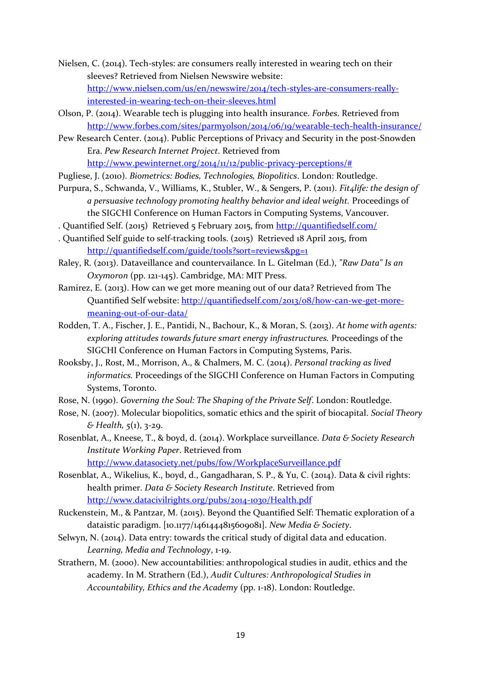- <span id="page-19-4"></span>Nielsen, C. (2014). Tech-styles: are consumers really interested in wearing tech on their sleeves? Retrieved from Nielsen Newswire website: [http://www.nielsen.com/us/en/newswire/2014/tech-styles-are-consumers-really](http://www.nielsen.com/us/en/newswire/2014/tech-styles-are-consumers-really-interested-in-wearing-tech-on-their-sleeves.html)[interested-in-wearing-tech-on-their-sleeves.html](http://www.nielsen.com/us/en/newswire/2014/tech-styles-are-consumers-really-interested-in-wearing-tech-on-their-sleeves.html)
- <span id="page-19-9"></span>Olson, P. (2014). Wearable tech is plugging into health insurance. *Forbes*. Retrieved from <http://www.forbes.com/sites/parmyolson/2014/06/19/wearable-tech-health-insurance/>
- <span id="page-19-17"></span>Pew Research Center. (2014). Public Perceptions of Privacy and Security in the post-Snowden Era. *Pew Research Internet Project*. Retrieved from [http://www.pewinternet.org/2014/11/12/public-privacy-perceptions/#](http://www.pewinternet.org/2014/11/12/public-privacy-perceptions/)
- <span id="page-19-13"></span>Pugliese, J. (2010). *Biometrics: Bodies, Technologies, Biopolitics*. London: Routledge.
- <span id="page-19-6"></span>Purpura, S., Schwanda, V., Williams, K., Stubler, W., & Sengers, P. (2011). *Fit4life: the design of a persuasive technology promoting healthy behavior and ideal weight.* Proceedings of the SIGCHI Conference on Human Factors in Computing Systems, Vancouver.
- <span id="page-19-1"></span>. Quantified Self. (2015) Retrieved 5 February 2015, from<http://quantifiedself.com/>
- <span id="page-19-2"></span>. Quantified Self guide to self-tracking tools. (2015) Retrieved 18 April 2015, from <http://quantifiedself.com/guide/tools?sort=reviews&pg=1>
- <span id="page-19-0"></span>Raley, R. (2013). Dataveillance and countervailance. In L. Gitelman (Ed.), *"Raw Data" Is an Oxymoron* (pp. 121-145). Cambridge, MA: MIT Press.
- <span id="page-19-10"></span>Ramirez, E. (2013). How can we get more meaning out of our data? Retrieved from The Quantified Self website: [http://quantifiedself.com/2013/08/how-can-we-get-more](http://quantifiedself.com/2013/08/how-can-we-get-more-meaning-out-of-our-data/)[meaning-out-of-our-data/](http://quantifiedself.com/2013/08/how-can-we-get-more-meaning-out-of-our-data/)
- <span id="page-19-16"></span>Rodden, T. A., Fischer, J. E., Pantidi, N., Bachour, K., & Moran, S. (2013). *At home with agents: exploring attitudes towards future smart energy infrastructures.* Proceedings of the SIGCHI Conference on Human Factors in Computing Systems, Paris.
- <span id="page-19-3"></span>Rooksby, J., Rost, M., Morrison, A., & Chalmers, M. C. (2014). *Personal tracking as lived informatics.* Proceedings of the SIGCHI Conference on Human Factors in Computing Systems, Toronto.
- <span id="page-19-12"></span>Rose, N. (1990). *Governing the Soul: The Shaping of the Private Self*. London: Routledge.
- <span id="page-19-15"></span>Rose, N. (2007). Molecular biopolitics, somatic ethics and the spirit of biocapital. *Social Theory & Health, 5*(1), 3-29.
- <span id="page-19-8"></span>Rosenblat, A., Kneese, T., & boyd, d. (2014). Workplace surveillance. *Data & Society Research Institute Working Paper*. Retrieved from <http://www.datasociety.net/pubs/fow/WorkplaceSurveillance.pdf>
- <span id="page-19-11"></span>Rosenblat, A., Wikelius, K., boyd, d., Gangadharan, S. P., & Yu, C. (2014). Data & civil rights: health primer. *Data & Society Research Institute*. Retrieved from <http://www.datacivilrights.org/pubs/2014-1030/Health.pdf>
- <span id="page-19-5"></span>Ruckenstein, M., & Pantzar, M. (2015). Beyond the Quantified Self: Thematic exploration of a dataistic paradigm. [10.1177/1461444815609081]. *New Media & Society*.
- <span id="page-19-7"></span>Selwyn, N. (2014). Data entry: towards the critical study of digital data and education. *Learning, Media and Technology*, 1-19.
- <span id="page-19-14"></span>Strathern, M. (2000). New accountabilities: anthropological studies in audit, ethics and the academy. In M. Strathern (Ed.), *Audit Cultures: Anthropological Studies in Accountability, Ethics and the Academy* (pp. 1-18). London: Routledge.